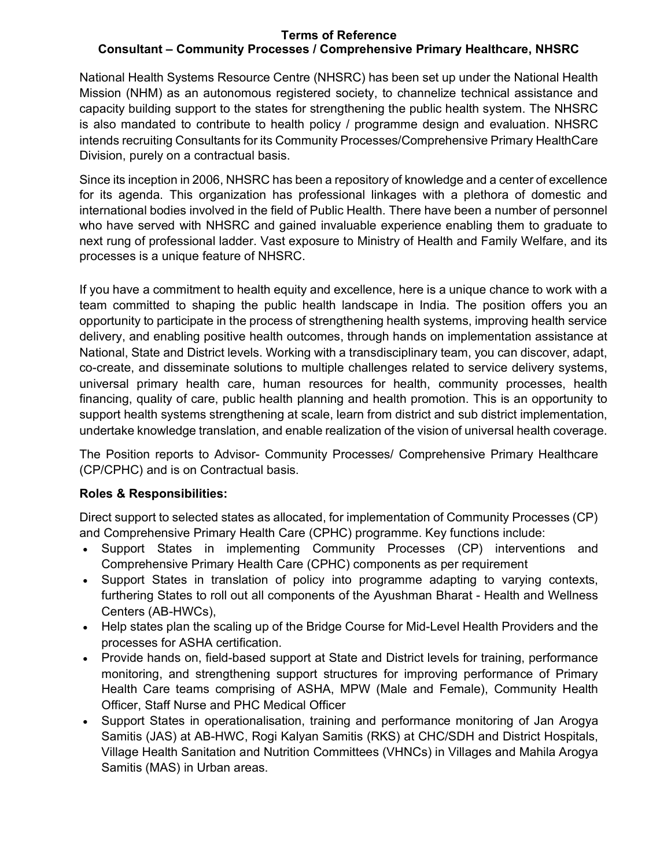#### Terms of Reference Consultant – Community Processes / Comprehensive Primary Healthcare, NHSRC

National Health Systems Resource Centre (NHSRC) has been set up under the National Health Mission (NHM) as an autonomous registered society, to channelize technical assistance and capacity building support to the states for strengthening the public health system. The NHSRC is also mandated to contribute to health policy / programme design and evaluation. NHSRC intends recruiting Consultants for its Community Processes/Comprehensive Primary HealthCare Division, purely on a contractual basis.

Since its inception in 2006, NHSRC has been a repository of knowledge and a center of excellence for its agenda. This organization has professional linkages with a plethora of domestic and international bodies involved in the field of Public Health. There have been a number of personnel who have served with NHSRC and gained invaluable experience enabling them to graduate to next rung of professional ladder. Vast exposure to Ministry of Health and Family Welfare, and its processes is a unique feature of NHSRC.

If you have a commitment to health equity and excellence, here is a unique chance to work with a team committed to shaping the public health landscape in India. The position offers you an opportunity to participate in the process of strengthening health systems, improving health service delivery, and enabling positive health outcomes, through hands on implementation assistance at National, State and District levels. Working with a transdisciplinary team, you can discover, adapt, co-create, and disseminate solutions to multiple challenges related to service delivery systems, universal primary health care, human resources for health, community processes, health financing, quality of care, public health planning and health promotion. This is an opportunity to support health systems strengthening at scale, learn from district and sub district implementation, undertake knowledge translation, and enable realization of the vision of universal health coverage.

The Position reports to Advisor- Community Processes/ Comprehensive Primary Healthcare (CP/CPHC) and is on Contractual basis.

### Roles & Responsibilities:

Direct support to selected states as allocated, for implementation of Community Processes (CP) and Comprehensive Primary Health Care (CPHC) programme. Key functions include:

- Support States in implementing Community Processes (CP) interventions and Comprehensive Primary Health Care (CPHC) components as per requirement
- Support States in translation of policy into programme adapting to varying contexts, furthering States to roll out all components of the Ayushman Bharat - Health and Wellness Centers (AB-HWCs),
- Help states plan the scaling up of the Bridge Course for Mid-Level Health Providers and the processes for ASHA certification.
- Provide hands on, field-based support at State and District levels for training, performance monitoring, and strengthening support structures for improving performance of Primary Health Care teams comprising of ASHA, MPW (Male and Female), Community Health Officer, Staff Nurse and PHC Medical Officer
- Support States in operationalisation, training and performance monitoring of Jan Arogya Samitis (JAS) at AB-HWC, Rogi Kalyan Samitis (RKS) at CHC/SDH and District Hospitals, Village Health Sanitation and Nutrition Committees (VHNCs) in Villages and Mahila Arogya Samitis (MAS) in Urban areas.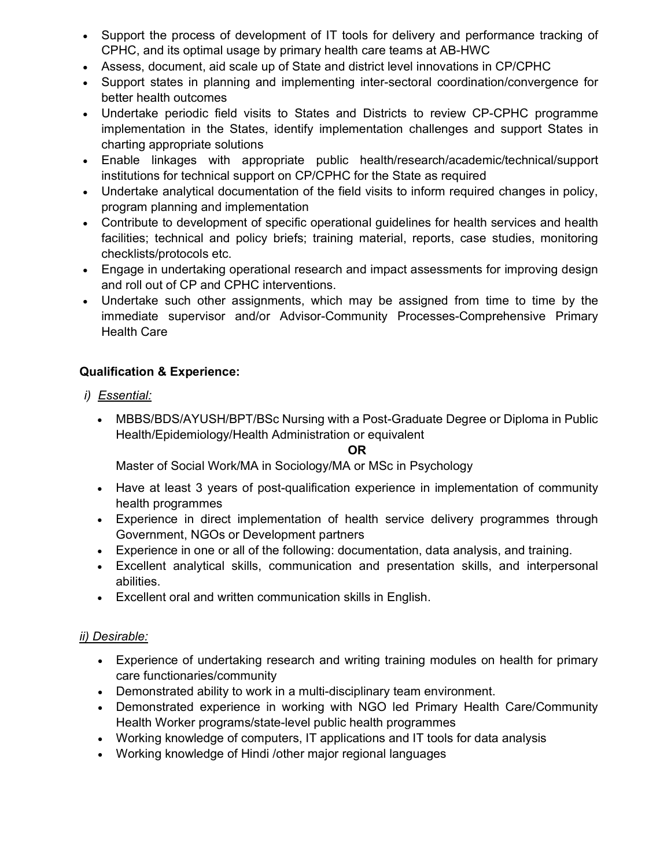- Support the process of development of IT tools for delivery and performance tracking of CPHC, and its optimal usage by primary health care teams at AB-HWC
- Assess, document, aid scale up of State and district level innovations in CP/CPHC
- Support states in planning and implementing inter-sectoral coordination/convergence for better health outcomes
- Undertake periodic field visits to States and Districts to review CP-CPHC programme implementation in the States, identify implementation challenges and support States in charting appropriate solutions
- Enable linkages with appropriate public health/research/academic/technical/support institutions for technical support on CP/CPHC for the State as required
- Undertake analytical documentation of the field visits to inform required changes in policy, program planning and implementation
- Contribute to development of specific operational guidelines for health services and health facilities; technical and policy briefs; training material, reports, case studies, monitoring checklists/protocols etc.
- Engage in undertaking operational research and impact assessments for improving design and roll out of CP and CPHC interventions.
- Undertake such other assignments, which may be assigned from time to time by the immediate supervisor and/or Advisor-Community Processes-Comprehensive Primary Health Care

#### Qualification & Experience:

- i) Essential:
	- MBBS/BDS/AYUSH/BPT/BSc Nursing with a Post-Graduate Degree or Diploma in Public Health/Epidemiology/Health Administration or equivalent

OR

Master of Social Work/MA in Sociology/MA or MSc in Psychology

- Have at least 3 years of post-qualification experience in implementation of community health programmes
- Experience in direct implementation of health service delivery programmes through Government, NGOs or Development partners
- Experience in one or all of the following: documentation, data analysis, and training.
- Excellent analytical skills, communication and presentation skills, and interpersonal abilities.
- Excellent oral and written communication skills in English.

### ii) Desirable:

- Experience of undertaking research and writing training modules on health for primary care functionaries/community
- Demonstrated ability to work in a multi-disciplinary team environment.
- Demonstrated experience in working with NGO led Primary Health Care/Community Health Worker programs/state-level public health programmes
- Working knowledge of computers, IT applications and IT tools for data analysis
- Working knowledge of Hindi /other major regional languages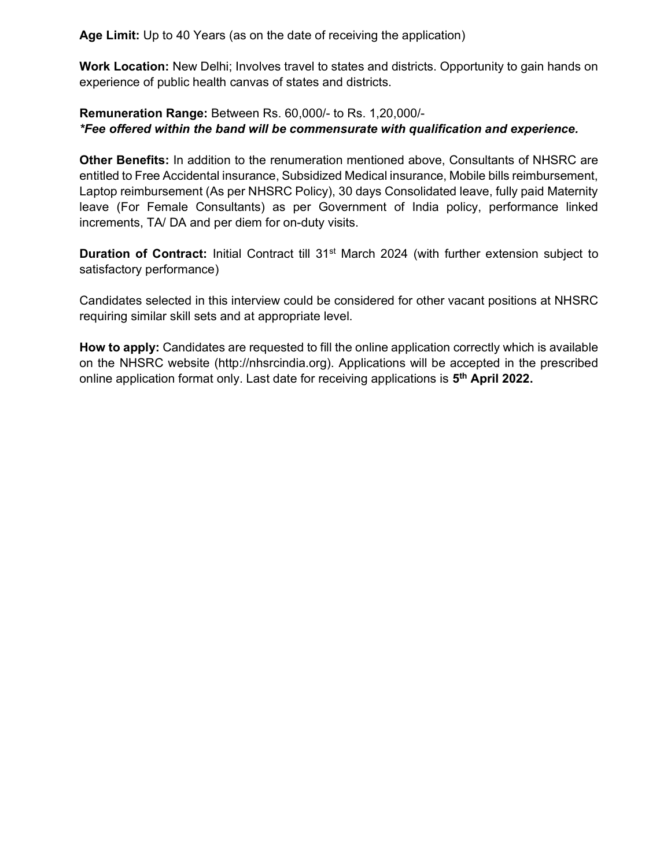Age Limit: Up to 40 Years (as on the date of receiving the application)

Work Location: New Delhi; Involves travel to states and districts. Opportunity to gain hands on experience of public health canvas of states and districts.

#### Remuneration Range: Between Rs. 60,000/- to Rs. 1,20,000/- \*Fee offered within the band will be commensurate with qualification and experience.

Other Benefits: In addition to the renumeration mentioned above, Consultants of NHSRC are entitled to Free Accidental insurance, Subsidized Medical insurance, Mobile bills reimbursement, Laptop reimbursement (As per NHSRC Policy), 30 days Consolidated leave, fully paid Maternity leave (For Female Consultants) as per Government of India policy, performance linked increments, TA/ DA and per diem for on-duty visits.

Duration of Contract: Initial Contract till 31<sup>st</sup> March 2024 (with further extension subject to satisfactory performance)

Candidates selected in this interview could be considered for other vacant positions at NHSRC requiring similar skill sets and at appropriate level.

How to apply: Candidates are requested to fill the online application correctly which is available on the NHSRC website (http://nhsrcindia.org). Applications will be accepted in the prescribed online application format only. Last date for receiving applications is 5<sup>th</sup> April 2022.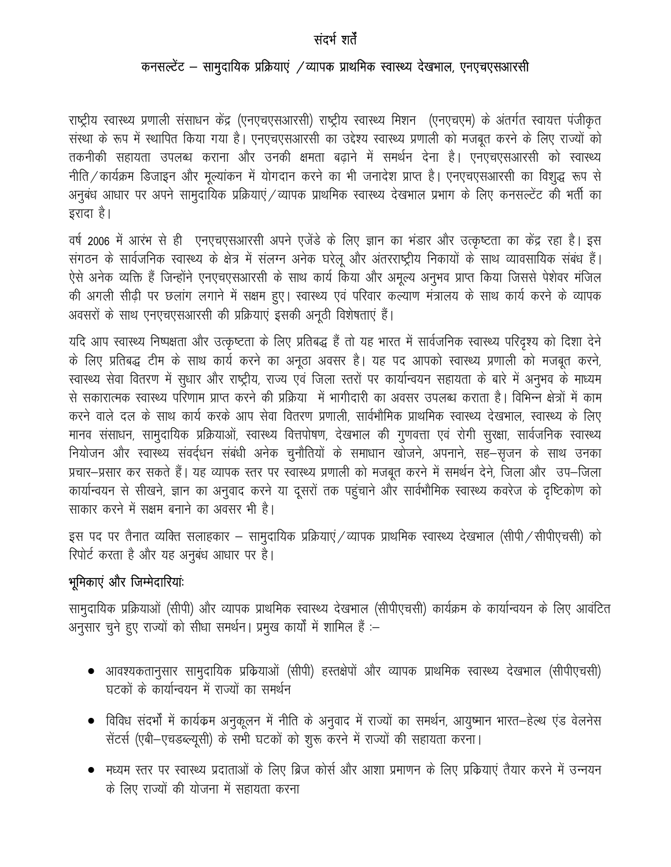### संदर्भ शर्तें

## कनसल्टेंट - सामुदायिक प्रक्रियाएं /व्यापक प्राथमिक स्वास्थ्य देखभाल, एनएचएसआरसी

राष्ट्रीय स्वास्थ्य प्रणाली संसाधन केंद्र (एनएचएसआरसी) राष्ट्रीय स्वास्थ्य मिशन (एनएचएम) के अंतर्गत स्वायत्त पंजीकृत संस्था के रूप में स्थापित किया गया है। एनएचएसआरसी का उद्देश्य स्वास्थ्य प्रणाली को मजबूत करने के लिए राज्यों को तकनीकी सहायता उपलब्ध कराना और उनकी क्षमता बढाने में समर्थन देना है। एनएचएसआरसी को स्वास्थ्य नीति / कार्यक्रम डिजाइन और मुल्यांकन में योगदान करने का भी जनादेश प्राप्त है। एनएचएसआरसी का विशुद्ध रूप से अनुबंध आधार पर अपने सामुदायिक प्रक्रियाएं / व्यापक प्राथमिक स्वास्थ्य देखभाल प्रभाग के लिए कनसल्टेंट की भर्ती का इरादा है।

वर्ष 2006 में आरंभ से ही एनएचएसआरसी अपने एजेंडे के लिए ज्ञान का भंडार और उत्कृष्टता का केंद्र रहा है। इस संगठन के सार्वजनिक स्वास्थ्य के क्षेत्र में संलग्न अनेक घरेलू और अंतरराष्ट्रीय निकायों के साथ व्यावसायिक संबंध हैं। ऐसे अनेक व्यक्ति हैं जिन्होंने एनएचएसआरसी के साथ कार्य किया और अमूल्य अनुभव प्राप्त किया जिससे पेशेवर मंजिल की अगली सीढ़ी पर छलांग लगाने में सक्षम हुए। स्वास्थ्य एवं परिवार कल्याण मंत्रालय के साथ कार्य करने के व्यापक अवसरों के साथ एनएचएसआरसी की प्रक्रियाएं इसकी अनूठी विशेषताएं हैं।

यदि आप स्वास्थ्य निष्पक्षता और उत्कृष्टता के लिए प्रतिबद्ध हैं तो यह भारत में सार्वजनिक स्वास्थ्य परिदृश्य को दिशा देने के लिए प्रतिबद्ध टीम के साथ कार्य करने का अनूठा अवसर है। यह पद आपको स्वास्थ्य प्रणाली को मजबूत करने, स्वास्थ्य सेवा वितरण में सुधार और राष्ट्रीय, राज्य एवं जिला स्तरों पर कार्यान्वयन सहायता के बारे में अनुभव के माध्यम से सकारात्मक स्वास्थ्य परिणाम प्राप्त करने की प्रक्रिया) में भागीदारी का अवसर उपलब्ध कराता है। विभिन्न क्षेत्रों में काम करने वाले दल के साथ कार्य करके आप सेवा वितरण प्रणाली, सार्वभौमिक प्राथमिक स्वास्थ्य देखभाल, स्वास्थ्य के लिए मानव संसाधन, सामुदायिक प्रक्रियाओं, स्वास्थ्य वित्तपोषण, देखभाल की गुणवत्ता एवं रोगी सुरक्षा, सार्वजनिक स्वास्थ्य नियोजन और स्वास्थ्य संवर्द्धन संबंधी अनेक चुनौतियों के समाधान खोजने, अपनाने, सह–सृजन के साथ उनका प्रचार-प्रसार कर सकते हैं। यह व्यापक स्तर पर स्वास्थ्य प्रणाली को मजबूत करने में समर्थन देने, जिला और उप-जिला कार्यान्वयन से सीखने, ज्ञान का अनुवाद करने या दूसरों तक पहुंचाने और सार्वभौमिक स्वास्थ्य कवरेज के दृष्टिकोण को साकार करने में सक्षम बनाने का अवसर भी है।

इस पद पर तैनात व्यक्ति सलाहकार – सामुदायिक प्रक्रियाएं / व्यापक प्राथमिक स्वास्थ्य देखभाल (सीपी / सीपीएचसी) को रिपोर्ट करता है और यह अनुबंध आधार पर है।

## भूमिकाएं और जिम्मेदारियांः

सामुदायिक प्रक्रियाओं (सीपी) और व्यापक प्राथमिक स्वास्थ्य देखभाल (सीपीएचसी) कार्यक्रम के कार्यान्वयन के लिए आवंटित अनुसार चुने हुए राज्यों को सीधा समर्थन। प्रमुख कार्यों में शामिल हैं :–

- आवश्यकतानुसार सामुदायिक प्रक्रियाओं (सीपी) हस्तक्षेपों और व्यापक प्राथमिक स्वास्थ्य देखभाल (सीपीएचसी) घटकों के कार्यान्वयन में राज्यों का समर्थन
- विविध संदर्भों में कार्यक्रम अनुकूलन में नीति के अनुवाद में राज्यों का समर्थन, आयुष्मान भारत–हेल्थ एंड वेलनेस सेंटर्स (एबी-एचडब्ल्यूसी) के सभी घटकों को शुरू करने में राज्यों की सहायता करना।
- मध्यम स्तर पर स्वास्थ्य प्रदाताओं के लिए ब्रिज कोर्स और आशा प्रमाणन के लिए प्रकियाएं तैयार करने में उन्नयन के लिए राज्यों की योजना में सहायता करना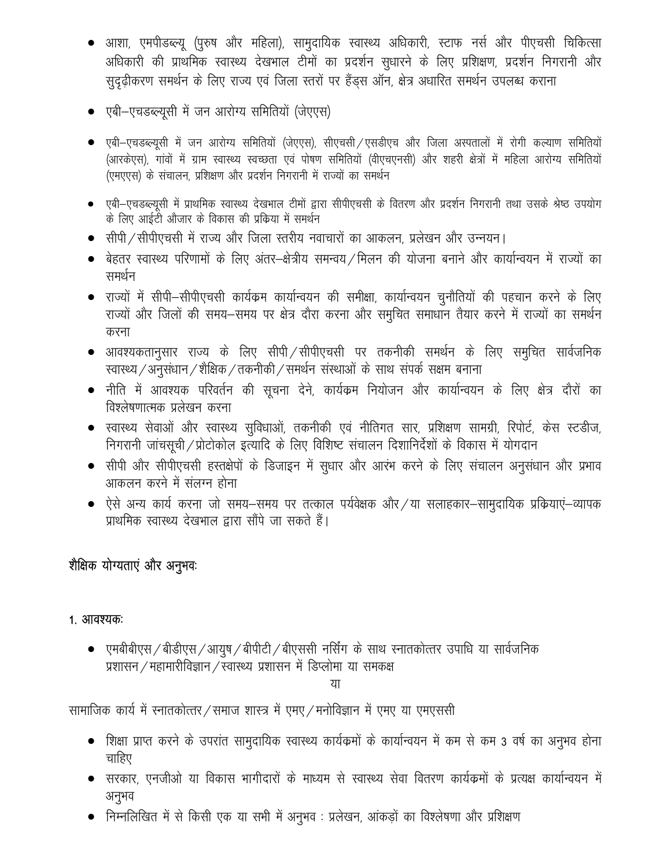- आशा, एमपीडब्ल्यू (पुरुष और महिला), सामुदायिक स्वास्थ्य अधिकारी, स्टाफ नर्स और पीएचसी चिकित्सा अधिकारी की प्राथमिक स्वास्थ्य देखभाल टीमों का प्रदर्शन सुधारने के लिए प्रशिक्षण, प्रदर्शन निगरानी और सुदृढ़ीकरण समर्थन के लिए राज्य एवं जिला स्तरों पर हैंड्स ऑन, क्षेत्र अधारित समर्थन उपलब्ध कराना
- एबी-एचडब्ल्यूसी में जन आरोग्य समितियों (जेएएस)
- एबी–एचडब्ल्यूसी में जन आरोग्य समितियों (जेएएस), सीएचसी ∕ एसडीएच और जिला अस्पतालों में रोगी कल्याण समितियों (आरकेएस), गांवों में ग्राम स्वास्थ्य स्वच्छता एवं पोषण समितियों (वीएचएनसी) और शहरी क्षेत्रों में महिला आरोग्य समितियों (एमएएस) के संचालन, प्रशिक्षण और प्रदर्शन निगरानी में राज्यों का समर्थन
- एबी–एचडब्ल्यूसी में प्राथमिक स्वास्थ्य देखभाल टीमों द्वारा सीपीएचसी के वितरण और प्रदर्शन निगरानी तथा उसके श्रेष्ठ उपयोग के लिए आईटी औजार के विकास की प्रक्रिया में समर्थन
- सीपी / सीपीएचसी में राज्य और जिला स्तरीय नवाचारों का आकलन, प्रलेखन और उन्नयन।
- बेहतर स्वास्थ्य परिणामों के लिए अंतर—क्षेत्रीय समन्वय ⁄ मिलन की योजना बनाने और कार्यान्वयन में राज्यों का समर्थन
- राज्यों में सीपी–सीपीएचसी कार्यक्रम कार्यान्वयन की समीक्षा, कार्यान्वयन चुनौतियों की पहचान करने के लिए राज्यों और जिलों की समय–समय पर क्षेत्र दौरा करना और समुचित समाधान तैयार करने में राज्यों का समर्थन करना
- आवश्यकतानुसार राज्य के लिए सीपी /सीपीएचसी पर तकनीकी समर्थन के लिए समुचित सार्वजनिक रवास्थ्य / अनुसंधान / शैक्षिक / तकनीकी / समर्थन संस्थाओं के साथ संपर्क सक्षम बनाना
- नीति में आवश्यक परिवर्तन की सूचना देने, कार्यक्रम नियोजन और कार्यान्वयन के लिए क्षेत्र दौरों का विश्लेषणात्मक प्रलेखन करना
- स्वास्थ्य सेवाओं और स्वास्थ्य सुविधाओं, तकनीकी एवं नीतिगत सार, प्रशिक्षण सामग्री, रिपोर्ट, केस स्टडीज, निगरानी जांचसूची / प्रोटोकोल इत्यादि के लिए विशिष्ट संचालन दिशानिर्देशों के विकास में योगदान
- सीपी और सीपीएचसी हस्तक्षेपों के डिजाइन में सुधार और आरंभ करने के लिए संचालन अनुसंधान और प्रभाव आकलन करने में संलग्न होना
- ऐसे अन्य कार्य करना जो समय–समय पर तत्काल पर्यवेक्षक और ⁄ या सलाहकार–सामुदायिक प्रक्रियाएं–व्यापक प्राथमिक स्वास्थ्य देखभाल द्वारा सौंपे जा सकते हैं।

# शैक्षिक योग्यताएं और अनुभवः

### 1. आवश्यकः

• एमबीबीएस / बीडीएस / आयुष / बीपीटी / बीएससी नर्सिंग के साथ स्नातकोत्तर उपाधि या सार्वजनिक प्रशासन / महामारीविज्ञान / स्वास्थ्य प्रशासन में डिप्लोमा या समकक्ष

या

सामाजिक कार्य में स्नातकोत्तर / समाज शास्त्र में एमए / मनोविज्ञान में एमए या एमएससी

- शिक्षा प्राप्त करने के उपरांत सामुदायिक स्वास्थ्य कार्यक्रमों के कार्यान्वयन में कम से कम 3 वर्ष का अनुभव होना चाहिए
- सरकार, एनजीओ या विकास भागीदारों के माध्यम से स्वास्थ्य सेवा वितरण कार्यक्रमों के प्रत्यक्ष कार्यान्वयन में अनुभव
- निम्नलिखित में से किसी एक या सभी में अनुभव : प्रलेखन, आंकड़ों का विश्लेषणा और प्रशिक्षण